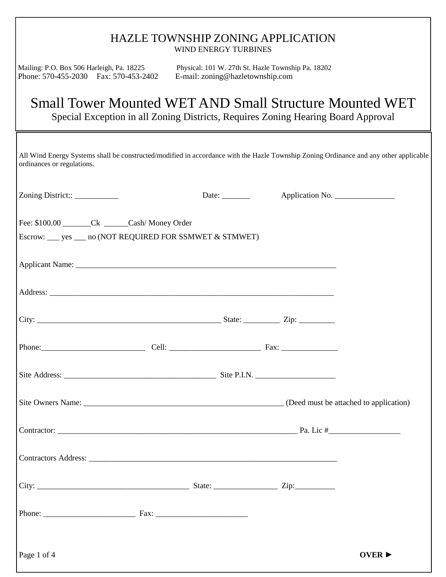| <b>HAZLE TOWNSHIP ZONING APPLICATION</b>                                                                                                                            | <b>WIND ENERGY TURBINES</b>      |                                                    |                            |
|---------------------------------------------------------------------------------------------------------------------------------------------------------------------|----------------------------------|----------------------------------------------------|----------------------------|
| Mailing: P.O. Box 506 Harleigh, Pa. 18225<br>Phone: 570-455-2030 Fax: 570-453-2402                                                                                  | E-mail: zoning@hazletownship.com | Physical: 101 W. 27th St. Hazle Township Pa. 18202 |                            |
| Small Tower Mounted WET AND Small Structure Mounted WET<br>Special Exception in all Zoning Districts, Requires Zoning Hearing Board Approval                        |                                  |                                                    |                            |
| All Wind Energy Systems shall be constructed/modified in accordance with the Hazle Township Zoning Ordinance and any other applicable<br>ordinances or regulations. |                                  |                                                    |                            |
| Zoning District::___________                                                                                                                                        | Date: $\_\_$                     | Application No.                                    |                            |
| Fee: \$100.00 Ck Cash/Money Order<br>Escrow: ___ yes ___ no (NOT REQUIRED FOR SSMWET & STMWET)                                                                      |                                  |                                                    |                            |
|                                                                                                                                                                     |                                  |                                                    |                            |
|                                                                                                                                                                     |                                  |                                                    |                            |
|                                                                                                                                                                     |                                  |                                                    |                            |
|                                                                                                                                                                     |                                  |                                                    |                            |
|                                                                                                                                                                     |                                  |                                                    |                            |
|                                                                                                                                                                     |                                  |                                                    |                            |
|                                                                                                                                                                     |                                  |                                                    |                            |
|                                                                                                                                                                     |                                  |                                                    |                            |
|                                                                                                                                                                     |                                  |                                                    |                            |
|                                                                                                                                                                     |                                  |                                                    |                            |
| Page 1 of 4                                                                                                                                                         |                                  |                                                    | OVER $\blacktriangleright$ |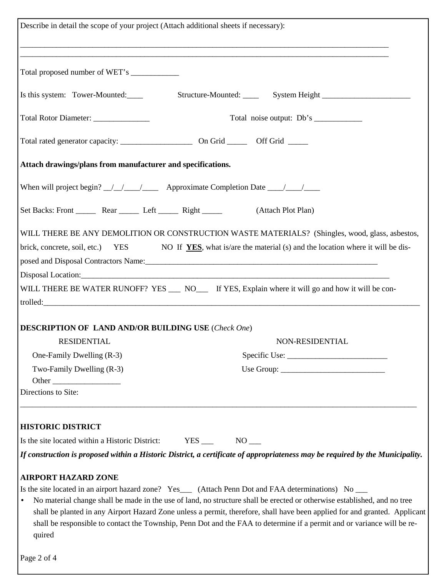| Describe in detail the scope of your project (Attach additional sheets if necessary): |                                                                                                                                                                                                                                                                                                                                                                                                                                                                                            |
|---------------------------------------------------------------------------------------|--------------------------------------------------------------------------------------------------------------------------------------------------------------------------------------------------------------------------------------------------------------------------------------------------------------------------------------------------------------------------------------------------------------------------------------------------------------------------------------------|
|                                                                                       | <u> 1989 - Johann Barn, mars et al. 1989 - Anna anno 1989 - Anna ann an t-Amhain ann an t-Amhain ann an t-Amhain</u>                                                                                                                                                                                                                                                                                                                                                                       |
| Total proposed number of WET's ______________                                         |                                                                                                                                                                                                                                                                                                                                                                                                                                                                                            |
|                                                                                       |                                                                                                                                                                                                                                                                                                                                                                                                                                                                                            |
| Total Rotor Diameter: ______________                                                  |                                                                                                                                                                                                                                                                                                                                                                                                                                                                                            |
|                                                                                       |                                                                                                                                                                                                                                                                                                                                                                                                                                                                                            |
| Attach drawings/plans from manufacturer and specifications.                           |                                                                                                                                                                                                                                                                                                                                                                                                                                                                                            |
|                                                                                       | When will project begin? _/_/__/________ Approximate Completion Date ___/___/___                                                                                                                                                                                                                                                                                                                                                                                                           |
|                                                                                       | Set Backs: Front Rear Left Right (Attach Plot Plan)                                                                                                                                                                                                                                                                                                                                                                                                                                        |
|                                                                                       | WILL THERE BE ANY DEMOLITION OR CONSTRUCTION WASTE MATERIALS? (Shingles, wood, glass, asbestos,<br>brick, concrete, soil, etc.) YES NO If YES, what is/are the material (s) and the location where it will be dis-<br>posed and Disposal Contractors Name: 1986. [1] All the same state of the state of the state of the state of the state of the state of the state of the state of the state of the state of the state of the state of the state                                        |
|                                                                                       | WILL THERE BE WATER RUNOFF? YES __ NO__ If YES, Explain where it will go and how it will be con-                                                                                                                                                                                                                                                                                                                                                                                           |
|                                                                                       |                                                                                                                                                                                                                                                                                                                                                                                                                                                                                            |
| <b>DESCRIPTION OF LAND AND/OR BUILDING USE (Check One)</b>                            |                                                                                                                                                                                                                                                                                                                                                                                                                                                                                            |
| <b>RESIDENTIAL</b>                                                                    | NON-RESIDENTIAL                                                                                                                                                                                                                                                                                                                                                                                                                                                                            |
| One-Family Dwelling (R-3)                                                             |                                                                                                                                                                                                                                                                                                                                                                                                                                                                                            |
| Two-Family Dwelling (R-3)                                                             |                                                                                                                                                                                                                                                                                                                                                                                                                                                                                            |
| Directions to Site:                                                                   |                                                                                                                                                                                                                                                                                                                                                                                                                                                                                            |
|                                                                                       |                                                                                                                                                                                                                                                                                                                                                                                                                                                                                            |
| <b>HISTORIC DISTRICT</b>                                                              |                                                                                                                                                                                                                                                                                                                                                                                                                                                                                            |
| Is the site located within a Historic District:                                       | $YES$ NO _____                                                                                                                                                                                                                                                                                                                                                                                                                                                                             |
|                                                                                       | If construction is proposed within a Historic District, a certificate of appropriateness may be required by the Municipality.                                                                                                                                                                                                                                                                                                                                                              |
| <b>AIRPORT HAZARD ZONE</b>                                                            |                                                                                                                                                                                                                                                                                                                                                                                                                                                                                            |
| $\bullet$<br>quired                                                                   | Is the site located in an airport hazard zone? Yes___ (Attach Penn Dot and FAA determinations) No ___<br>No material change shall be made in the use of land, no structure shall be erected or otherwise established, and no tree<br>shall be planted in any Airport Hazard Zone unless a permit, therefore, shall have been applied for and granted. Applicant<br>shall be responsible to contact the Township, Penn Dot and the FAA to determine if a permit and or variance will be re- |
| Page 2 of 4                                                                           |                                                                                                                                                                                                                                                                                                                                                                                                                                                                                            |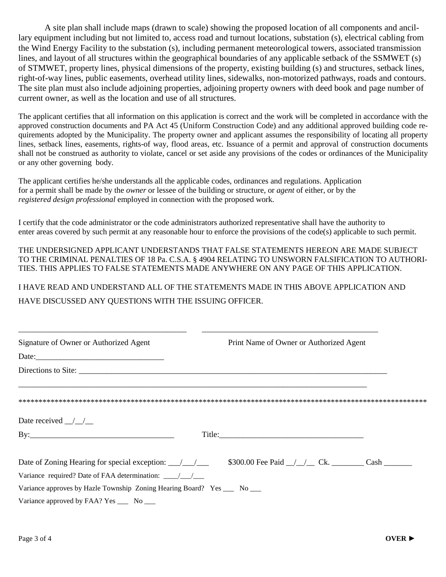A site plan shall include maps (drawn to scale) showing the proposed location of all components and ancillary equipment including but not limited to, access road and turnout locations, substation (s), electrical cabling from the Wind Energy Facility to the substation (s), including permanent meteorological towers, associated transmission lines, and layout of all structures within the geographical boundaries of any applicable setback of the SSMWET (s) of STMWET, property lines, physical dimensions of the property, existing building (s) and structures, setback lines, right-of-way lines, public easements, overhead utility lines, sidewalks, non-motorized pathways, roads and contours. The site plan must also include adjoining properties, adjoining property owners with deed book and page number of current owner, as well as the location and use of all structures.

The applicant certifies that all information on this application is correct and the work will be completed in accordance with the approved construction documents and PA Act 45 (Uniform Construction Code) and any additional approved building code requirements adopted by the Municipality. The property owner and applicant assumes the responsibility of locating all property lines, setback lines, easements, rights-of way, flood areas, etc. Issuance of a permit and approval of construction documents shall not be construed as authority to violate, cancel or set aside any provisions of the codes or ordinances of the Municipality or any other governing body.

The applicant certifies he/she understands all the applicable codes, ordinances and regulations. Application for a permit shall be made by the *owner* or lessee of the building or structure, or *agent* of either, or by the *registered design professional* employed in connection with the proposed work.

I certify that the code administrator or the code administrators authorized representative shall have the authority to enter areas covered by such permit at any reasonable hour to enforce the provisions of the code(s) applicable to such permit.

THE UNDERSIGNED APPLICANT UNDERSTANDS THAT FALSE STATEMENTS HEREON ARE MADE SUBJECT TO THE CRIMINAL PENALTIES OF 18 Pa. C.S.A. § 4904 RELATING TO UNSWORN FALSIFICATION TO AUTHORI-TIES. THIS APPLIES TO FALSE STATEMENTS MADE ANYWHERE ON ANY PAGE OF THIS APPLICATION.

I HAVE READ AND UNDERSTAND ALL OF THE STATEMENTS MADE IN THIS ABOVE APPLICATION AND HAVE DISCUSSED ANY QUESTIONS WITH THE ISSUING OFFICER.

| Signature of Owner or Authorized Agent                                                                            | Print Name of Owner or Authorized Agent |  |
|-------------------------------------------------------------------------------------------------------------------|-----------------------------------------|--|
|                                                                                                                   |                                         |  |
|                                                                                                                   |                                         |  |
|                                                                                                                   |                                         |  |
|                                                                                                                   |                                         |  |
| Date received $\_\_\_\_\_\_\_\_\_\$                                                                               |                                         |  |
|                                                                                                                   |                                         |  |
| Date of Zoning Hearing for special exception: $\angle$ $\angle$ \$300.00 Fee Paid $\angle$ $\angle$ Ck. Cash Cash |                                         |  |
| Variance required? Date of FAA determination: ___________________________________                                 |                                         |  |
| Variance approves by Hazle Township Zoning Hearing Board? Yes _____ No ____                                       |                                         |  |
| Variance approved by FAA? Yes ______ No _____                                                                     |                                         |  |